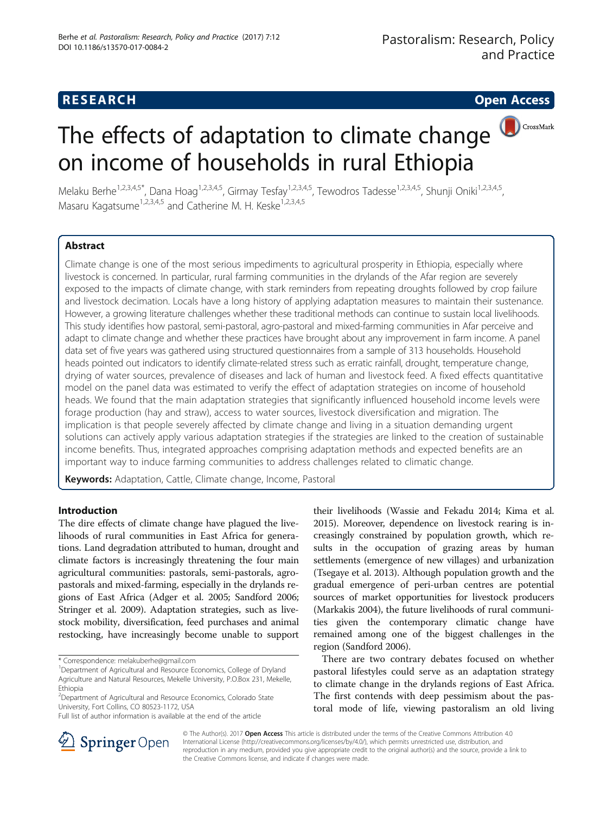## **RESEARCH CHE Open Access**

# CrossMark The effects of adaptation to climate change on income of households in rural Ethiopia

Melaku Berhe<sup>1,2,3,4,5\*</sup>, Dana Hoag<sup>1,2,3,4,5</sup>, Girmay Tesfay<sup>1,2,3,4,5</sup>, Tewodros Tadesse<sup>1,2,3,4,5</sup>, Shunji Oniki<sup>1,2,3,4,5</sup>, Masaru Kagatsume<sup>1,2,3,4,5</sup> and Catherine M. H. Keske<sup>1,2,3,4,5</sup>

### Abstract

Climate change is one of the most serious impediments to agricultural prosperity in Ethiopia, especially where livestock is concerned. In particular, rural farming communities in the drylands of the Afar region are severely exposed to the impacts of climate change, with stark reminders from repeating droughts followed by crop failure and livestock decimation. Locals have a long history of applying adaptation measures to maintain their sustenance. However, a growing literature challenges whether these traditional methods can continue to sustain local livelihoods. This study identifies how pastoral, semi-pastoral, agro-pastoral and mixed-farming communities in Afar perceive and adapt to climate change and whether these practices have brought about any improvement in farm income. A panel data set of five years was gathered using structured questionnaires from a sample of 313 households. Household heads pointed out indicators to identify climate-related stress such as erratic rainfall, drought, temperature change, drying of water sources, prevalence of diseases and lack of human and livestock feed. A fixed effects quantitative model on the panel data was estimated to verify the effect of adaptation strategies on income of household heads. We found that the main adaptation strategies that significantly influenced household income levels were forage production (hay and straw), access to water sources, livestock diversification and migration. The implication is that people severely affected by climate change and living in a situation demanding urgent solutions can actively apply various adaptation strategies if the strategies are linked to the creation of sustainable income benefits. Thus, integrated approaches comprising adaptation methods and expected benefits are an important way to induce farming communities to address challenges related to climatic change.

Keywords: Adaptation, Cattle, Climate change, Income, Pastoral

#### Introduction

The dire effects of climate change have plagued the livelihoods of rural communities in East Africa for generations. Land degradation attributed to human, drought and climate factors is increasingly threatening the four main agricultural communities: pastorals, semi-pastorals, agropastorals and mixed-farming, especially in the drylands regions of East Africa (Adger et al. [2005;](#page-13-0) Sandford [2006](#page-14-0); Stringer et al. [2009\)](#page-14-0). Adaptation strategies, such as livestock mobility, diversification, feed purchases and animal restocking, have increasingly become unable to support

their livelihoods (Wassie and Fekadu [2014](#page-14-0); Kima et al. [2015\)](#page-13-0). Moreover, dependence on livestock rearing is increasingly constrained by population growth, which results in the occupation of grazing areas by human settlements (emergence of new villages) and urbanization (Tsegaye et al. [2013\)](#page-14-0). Although population growth and the gradual emergence of peri-urban centres are potential sources of market opportunities for livestock producers (Markakis [2004](#page-13-0)), the future livelihoods of rural communities given the contemporary climatic change have remained among one of the biggest challenges in the region (Sandford [2006\)](#page-14-0).

There are two contrary debates focused on whether pastoral lifestyles could serve as an adaptation strategy to climate change in the drylands regions of East Africa. The first contends with deep pessimism about the pastoral mode of life, viewing pastoralism an old living



© The Author(s). 2017 **Open Access** This article is distributed under the terms of the Creative Commons Attribution 4.0 International License ([http://creativecommons.org/licenses/by/4.0/\)](http://creativecommons.org/licenses/by/4.0/), which permits unrestricted use, distribution, and reproduction in any medium, provided you give appropriate credit to the original author(s) and the source, provide a link to the Creative Commons license, and indicate if changes were made.

<sup>\*</sup> Correspondence: [melakuberhe@gmail.com](mailto:melakuberhe@gmail.com) <sup>1</sup>

<sup>&</sup>lt;sup>1</sup>Department of Agricultural and Resource Economics, College of Dryland Agriculture and Natural Resources, Mekelle University, P.O.Box 231, Mekelle, Ethiopia

<sup>&</sup>lt;sup>2</sup> Department of Agricultural and Resource Economics, Colorado State University, Fort Collins, CO 80523-1172, USA

Full list of author information is available at the end of the article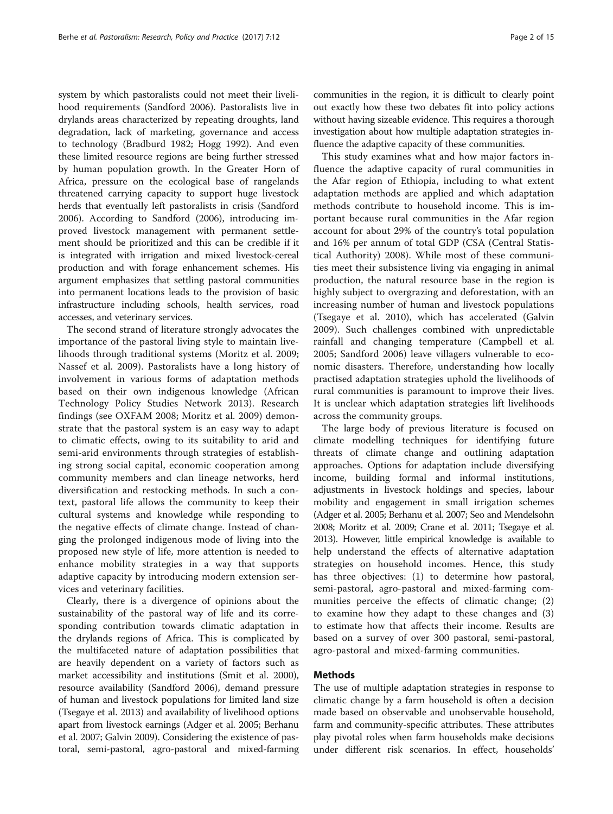system by which pastoralists could not meet their livelihood requirements (Sandford [2006](#page-14-0)). Pastoralists live in drylands areas characterized by repeating droughts, land degradation, lack of marketing, governance and access to technology (Bradburd [1982](#page-13-0); Hogg [1992](#page-13-0)). And even these limited resource regions are being further stressed by human population growth. In the Greater Horn of Africa, pressure on the ecological base of rangelands threatened carrying capacity to support huge livestock herds that eventually left pastoralists in crisis (Sandford [2006](#page-14-0)). According to Sandford [\(2006\)](#page-14-0), introducing improved livestock management with permanent settlement should be prioritized and this can be credible if it is integrated with irrigation and mixed livestock-cereal production and with forage enhancement schemes. His argument emphasizes that settling pastoral communities into permanent locations leads to the provision of basic infrastructure including schools, health services, road accesses, and veterinary services.

The second strand of literature strongly advocates the importance of the pastoral living style to maintain livelihoods through traditional systems (Moritz et al. [2009](#page-13-0); Nassef et al. [2009\)](#page-13-0). Pastoralists have a long history of involvement in various forms of adaptation methods based on their own indigenous knowledge (African Technology Policy Studies Network [2013\)](#page-13-0). Research findings (see OXFAM [2008](#page-13-0); Moritz et al. [2009\)](#page-13-0) demonstrate that the pastoral system is an easy way to adapt to climatic effects, owing to its suitability to arid and semi-arid environments through strategies of establishing strong social capital, economic cooperation among community members and clan lineage networks, herd diversification and restocking methods. In such a context, pastoral life allows the community to keep their cultural systems and knowledge while responding to the negative effects of climate change. Instead of changing the prolonged indigenous mode of living into the proposed new style of life, more attention is needed to enhance mobility strategies in a way that supports adaptive capacity by introducing modern extension services and veterinary facilities.

Clearly, there is a divergence of opinions about the sustainability of the pastoral way of life and its corresponding contribution towards climatic adaptation in the drylands regions of Africa. This is complicated by the multifaceted nature of adaptation possibilities that are heavily dependent on a variety of factors such as market accessibility and institutions (Smit et al. [2000](#page-14-0)), resource availability (Sandford [2006\)](#page-14-0), demand pressure of human and livestock populations for limited land size (Tsegaye et al. [2013\)](#page-14-0) and availability of livelihood options apart from livestock earnings (Adger et al. [2005](#page-13-0); Berhanu et al. [2007](#page-13-0); Galvin [2009](#page-13-0)). Considering the existence of pastoral, semi-pastoral, agro-pastoral and mixed-farming communities in the region, it is difficult to clearly point out exactly how these two debates fit into policy actions without having sizeable evidence. This requires a thorough investigation about how multiple adaptation strategies influence the adaptive capacity of these communities.

This study examines what and how major factors influence the adaptive capacity of rural communities in the Afar region of Ethiopia, including to what extent adaptation methods are applied and which adaptation methods contribute to household income. This is important because rural communities in the Afar region account for about 29% of the country's total population and 16% per annum of total GDP (CSA (Central Statistical Authority) [2008](#page-13-0)). While most of these communities meet their subsistence living via engaging in animal production, the natural resource base in the region is highly subject to overgrazing and deforestation, with an increasing number of human and livestock populations (Tsegaye et al. [2010\)](#page-14-0), which has accelerated (Galvin [2009\)](#page-13-0). Such challenges combined with unpredictable rainfall and changing temperature (Campbell et al. [2005;](#page-13-0) Sandford [2006](#page-14-0)) leave villagers vulnerable to economic disasters. Therefore, understanding how locally practised adaptation strategies uphold the livelihoods of rural communities is paramount to improve their lives. It is unclear which adaptation strategies lift livelihoods across the community groups.

The large body of previous literature is focused on climate modelling techniques for identifying future threats of climate change and outlining adaptation approaches. Options for adaptation include diversifying income, building formal and informal institutions, adjustments in livestock holdings and species, labour mobility and engagement in small irrigation schemes (Adger et al. [2005](#page-13-0); Berhanu et al. [2007](#page-13-0); Seo and Mendelsohn [2008](#page-14-0); Moritz et al. [2009](#page-13-0); Crane et al. [2011](#page-13-0); Tsegaye et al. [2013](#page-14-0)). However, little empirical knowledge is available to help understand the effects of alternative adaptation strategies on household incomes. Hence, this study has three objectives: (1) to determine how pastoral, semi-pastoral, agro-pastoral and mixed-farming communities perceive the effects of climatic change; (2) to examine how they adapt to these changes and (3) to estimate how that affects their income. Results are based on a survey of over 300 pastoral, semi-pastoral, agro-pastoral and mixed-farming communities.

#### Methods

The use of multiple adaptation strategies in response to climatic change by a farm household is often a decision made based on observable and unobservable household, farm and community-specific attributes. These attributes play pivotal roles when farm households make decisions under different risk scenarios. In effect, households'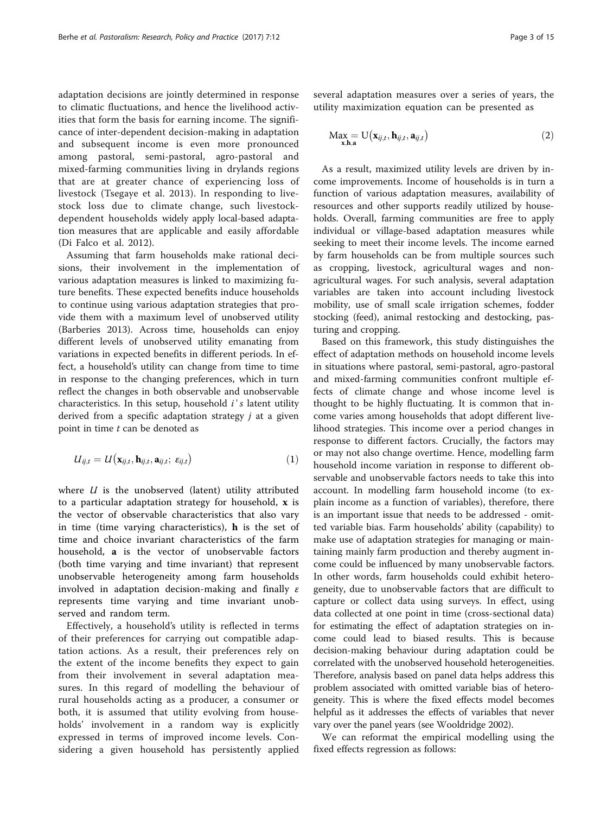adaptation decisions are jointly determined in response to climatic fluctuations, and hence the livelihood activities that form the basis for earning income. The significance of inter-dependent decision-making in adaptation and subsequent income is even more pronounced among pastoral, semi-pastoral, agro-pastoral and mixed-farming communities living in drylands regions that are at greater chance of experiencing loss of livestock (Tsegaye et al. [2013\)](#page-14-0). In responding to livestock loss due to climate change, such livestockdependent households widely apply local-based adaptation measures that are applicable and easily affordable (Di Falco et al. [2012](#page-13-0)).

Assuming that farm households make rational decisions, their involvement in the implementation of various adaptation measures is linked to maximizing future benefits. These expected benefits induce households to continue using various adaptation strategies that provide them with a maximum level of unobserved utility (Barberies [2013\)](#page-13-0). Across time, households can enjoy different levels of unobserved utility emanating from variations in expected benefits in different periods. In effect, a household's utility can change from time to time in response to the changing preferences, which in turn reflect the changes in both observable and unobservable characteristics. In this setup, household  $i's$  latent utility derived from a specific adaptation strategy  $j$  at a given point in time  $t$  can be denoted as

$$
U_{ij,t} = U(\mathbf{x}_{ij,t}, \mathbf{h}_{ij,t}, \mathbf{a}_{ij,t}; \varepsilon_{ij,t})
$$
 (1)

where  $U$  is the unobserved (latent) utility attributed to a particular adaptation strategy for household, x is the vector of observable characteristics that also vary in time (time varying characteristics), h is the set of time and choice invariant characteristics of the farm household, a is the vector of unobservable factors (both time varying and time invariant) that represent unobservable heterogeneity among farm households involved in adaptation decision-making and finally  $\varepsilon$ represents time varying and time invariant unobserved and random term.

Effectively, a household's utility is reflected in terms of their preferences for carrying out compatible adaptation actions. As a result, their preferences rely on the extent of the income benefits they expect to gain from their involvement in several adaptation measures. In this regard of modelling the behaviour of rural households acting as a producer, a consumer or both, it is assumed that utility evolving from households' involvement in a random way is explicitly expressed in terms of improved income levels. Considering a given household has persistently applied several adaptation measures over a series of years, the utility maximization equation can be presented as

$$
Max = U(\mathbf{x}_{ij,t}, \mathbf{h}_{ij,t}, a_{ij,t})
$$
\n(2)

As a result, maximized utility levels are driven by income improvements. Income of households is in turn a function of various adaptation measures, availability of resources and other supports readily utilized by households. Overall, farming communities are free to apply individual or village-based adaptation measures while seeking to meet their income levels. The income earned by farm households can be from multiple sources such as cropping, livestock, agricultural wages and nonagricultural wages. For such analysis, several adaptation variables are taken into account including livestock mobility, use of small scale irrigation schemes, fodder stocking (feed), animal restocking and destocking, pasturing and cropping.

Based on this framework, this study distinguishes the effect of adaptation methods on household income levels in situations where pastoral, semi-pastoral, agro-pastoral and mixed-farming communities confront multiple effects of climate change and whose income level is thought to be highly fluctuating. It is common that income varies among households that adopt different livelihood strategies. This income over a period changes in response to different factors. Crucially, the factors may or may not also change overtime. Hence, modelling farm household income variation in response to different observable and unobservable factors needs to take this into account. In modelling farm household income (to explain income as a function of variables), therefore, there is an important issue that needs to be addressed - omitted variable bias. Farm households' ability (capability) to make use of adaptation strategies for managing or maintaining mainly farm production and thereby augment income could be influenced by many unobservable factors. In other words, farm households could exhibit heterogeneity, due to unobservable factors that are difficult to capture or collect data using surveys. In effect, using data collected at one point in time (cross-sectional data) for estimating the effect of adaptation strategies on income could lead to biased results. This is because decision-making behaviour during adaptation could be correlated with the unobserved household heterogeneities. Therefore, analysis based on panel data helps address this problem associated with omitted variable bias of heterogeneity. This is where the fixed effects model becomes helpful as it addresses the effects of variables that never vary over the panel years (see Wooldridge [2002\)](#page-14-0).

We can reformat the empirical modelling using the fixed effects regression as follows: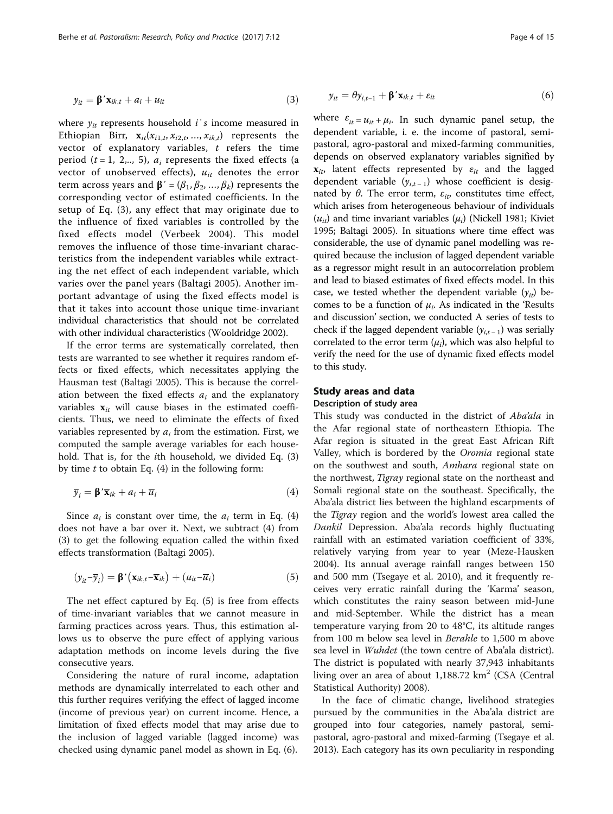$$
y_{it} = \mathbf{\beta}' \mathbf{x}_{ik,t} + a_i + u_{it} \tag{3}
$$

where  $y_{it}$  represents household  $i's$  income measured in Ethiopian Birr,  $\mathbf{x}_{it}(x_{i1,t}, x_{i2,t}, ..., x_{ik,t})$  represents the vector of explanatory variables,  $t$  refers the time period ( $t = 1, 2, \ldots, 5$ ),  $a_i$  represents the fixed effects (a vector of unobserved effects),  $u_{it}$  denotes the error term across years and  $\boldsymbol{\beta}' = (\beta_1, \beta_2, ..., \beta_k)$  represents the corresponding vector of estimated coefficients. In the setup of Eq. (3), any effect that may originate due to the influence of fixed variables is controlled by the fixed effects model (Verbeek [2004](#page-14-0)). This model removes the influence of those time-invariant characteristics from the independent variables while extracting the net effect of each independent variable, which varies over the panel years (Baltagi [2005\)](#page-13-0). Another important advantage of using the fixed effects model is that it takes into account those unique time-invariant individual characteristics that should not be correlated with other individual characteristics (Wooldridge [2002\)](#page-14-0).

If the error terms are systematically correlated, then tests are warranted to see whether it requires random effects or fixed effects, which necessitates applying the Hausman test (Baltagi [2005](#page-13-0)). This is because the correlation between the fixed effects  $a_i$  and the explanatory variables  $x_{it}$  will cause biases in the estimated coefficients. Thus, we need to eliminate the effects of fixed variables represented by  $a_i$  from the estimation. First, we computed the sample average variables for each household. That is, for the ith household, we divided Eq. (3) by time  $t$  to obtain Eq.  $(4)$  in the following form:

$$
\overline{y}_i = \mathbf{\beta}' \overline{\mathbf{x}}_{ik} + a_i + \overline{u}_i
$$
\n(4)

Since  $a_i$  is constant over time, the  $a_i$  term in Eq. (4) does not have a bar over it. Next, we subtract (4) from (3) to get the following equation called the within fixed effects transformation (Baltagi [2005](#page-13-0)).

$$
(y_{it} - \overline{y}_i) = \beta' (x_{ik,t} - \overline{x}_{ik}) + (u_{it} - \overline{u}_i)
$$
 (5)

The net effect captured by Eq. (5) is free from effects of time-invariant variables that we cannot measure in farming practices across years. Thus, this estimation allows us to observe the pure effect of applying various adaptation methods on income levels during the five consecutive years.

Considering the nature of rural income, adaptation methods are dynamically interrelated to each other and this further requires verifying the effect of lagged income (income of previous year) on current income. Hence, a limitation of fixed effects model that may arise due to the inclusion of lagged variable (lagged income) was checked using dynamic panel model as shown in Eq. (6).

$$
y_{it} = \theta y_{i,t-1} + \beta' \mathbf{x}_{ik,t} + \varepsilon_{it}
$$
\n(6)

where  $\varepsilon_{it} = u_{it} + \mu_i$ . In such dynamic panel setup, the dependent variable, i. e. the income of pastoral, semipastoral, agro-pastoral and mixed-farming communities, depends on observed explanatory variables signified by  $\mathbf{x}_{it}$  latent effects represented by  $\varepsilon_{it}$  and the lagged dependent variable  $(y_{i,t-1})$  whose coefficient is designated by  $\theta$ . The error term,  $\varepsilon_{it}$ , constitutes time effect, which arises from heterogeneous behaviour of individuals  $(u_{it})$  and time invariant variables  $(u_i)$  (Nickell [1981;](#page-13-0) Kiviet [1995](#page-13-0); Baltagi [2005](#page-13-0)). In situations where time effect was considerable, the use of dynamic panel modelling was required because the inclusion of lagged dependent variable as a regressor might result in an autocorrelation problem and lead to biased estimates of fixed effects model. In this case, we tested whether the dependent variable  $(y_{it})$  becomes to be a function of  $\mu_i$ . As indicated in the '[Results](#page-5-0) [and discussion](#page-5-0)' section, we conducted A series of tests to check if the lagged dependent variable  $(y_{i,t-1})$  was serially correlated to the error term  $(\mu_i)$ , which was also helpful to verify the need for the use of dynamic fixed effects model to this study.

### Study areas and data

Description of study area

This study was conducted in the district of Aba'ala in the Afar regional state of northeastern Ethiopia. The Afar region is situated in the great East African Rift Valley, which is bordered by the Oromia regional state on the southwest and south, Amhara regional state on the northwest, Tigray regional state on the northeast and Somali regional state on the southeast. Specifically, the Aba'ala district lies between the highland escarpments of the Tigray region and the world's lowest area called the Dankil Depression. Aba'ala records highly fluctuating rainfall with an estimated variation coefficient of 33%, relatively varying from year to year (Meze-Hausken [2004](#page-13-0)). Its annual average rainfall ranges between 150 and 500 mm (Tsegaye et al. [2010\)](#page-14-0), and it frequently receives very erratic rainfall during the 'Karma' season, which constitutes the rainy season between mid-June and mid-September. While the district has a mean temperature varying from 20 to 48°C, its altitude ranges from 100 m below sea level in Berahle to 1,500 m above sea level in Wuhdet (the town centre of Aba'ala district). The district is populated with nearly 37,943 inhabitants living over an area of about  $1,188.72 \text{ km}^2 \text{ (CSA (Central) } )$ Statistical Authority) [2008](#page-13-0)).

In the face of climatic change, livelihood strategies pursued by the communities in the Aba'ala district are grouped into four categories, namely pastoral, semipastoral, agro-pastoral and mixed-farming (Tsegaye et al. [2013\)](#page-14-0). Each category has its own peculiarity in responding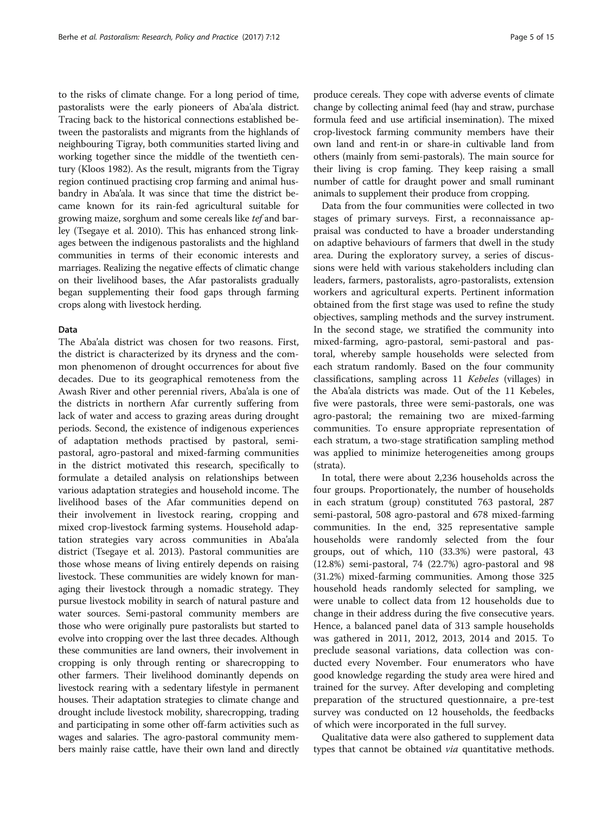to the risks of climate change. For a long period of time, pastoralists were the early pioneers of Aba'ala district. Tracing back to the historical connections established between the pastoralists and migrants from the highlands of neighbouring Tigray, both communities started living and working together since the middle of the twentieth century (Kloos [1982\)](#page-13-0). As the result, migrants from the Tigray region continued practising crop farming and animal husbandry in Aba'ala. It was since that time the district became known for its rain-fed agricultural suitable for growing maize, sorghum and some cereals like tef and barley (Tsegaye et al. [2010\)](#page-14-0). This has enhanced strong linkages between the indigenous pastoralists and the highland communities in terms of their economic interests and marriages. Realizing the negative effects of climatic change on their livelihood bases, the Afar pastoralists gradually began supplementing their food gaps through farming crops along with livestock herding.

#### Data

The Aba'ala district was chosen for two reasons. First, the district is characterized by its dryness and the common phenomenon of drought occurrences for about five decades. Due to its geographical remoteness from the Awash River and other perennial rivers, Aba'ala is one of the districts in northern Afar currently suffering from lack of water and access to grazing areas during drought periods. Second, the existence of indigenous experiences of adaptation methods practised by pastoral, semipastoral, agro-pastoral and mixed-farming communities in the district motivated this research, specifically to formulate a detailed analysis on relationships between various adaptation strategies and household income. The livelihood bases of the Afar communities depend on their involvement in livestock rearing, cropping and mixed crop-livestock farming systems. Household adaptation strategies vary across communities in Aba'ala district (Tsegaye et al. [2013\)](#page-14-0). Pastoral communities are those whose means of living entirely depends on raising livestock. These communities are widely known for managing their livestock through a nomadic strategy. They pursue livestock mobility in search of natural pasture and water sources. Semi-pastoral community members are those who were originally pure pastoralists but started to evolve into cropping over the last three decades. Although these communities are land owners, their involvement in cropping is only through renting or sharecropping to other farmers. Their livelihood dominantly depends on livestock rearing with a sedentary lifestyle in permanent houses. Their adaptation strategies to climate change and drought include livestock mobility, sharecropping, trading and participating in some other off-farm activities such as wages and salaries. The agro-pastoral community members mainly raise cattle, have their own land and directly produce cereals. They cope with adverse events of climate change by collecting animal feed (hay and straw, purchase formula feed and use artificial insemination). The mixed crop-livestock farming community members have their own land and rent-in or share-in cultivable land from others (mainly from semi-pastorals). The main source for their living is crop faming. They keep raising a small number of cattle for draught power and small ruminant animals to supplement their produce from cropping.

Data from the four communities were collected in two stages of primary surveys. First, a reconnaissance appraisal was conducted to have a broader understanding on adaptive behaviours of farmers that dwell in the study area. During the exploratory survey, a series of discussions were held with various stakeholders including clan leaders, farmers, pastoralists, agro-pastoralists, extension workers and agricultural experts. Pertinent information obtained from the first stage was used to refine the study objectives, sampling methods and the survey instrument. In the second stage, we stratified the community into mixed-farming, agro-pastoral, semi-pastoral and pastoral, whereby sample households were selected from each stratum randomly. Based on the four community classifications, sampling across 11 Kebeles (villages) in the Aba'ala districts was made. Out of the 11 Kebeles, five were pastorals, three were semi-pastorals, one was agro-pastoral; the remaining two are mixed-farming communities. To ensure appropriate representation of each stratum, a two-stage stratification sampling method was applied to minimize heterogeneities among groups (strata).

In total, there were about 2,236 households across the four groups. Proportionately, the number of households in each stratum (group) constituted 763 pastoral, 287 semi-pastoral, 508 agro-pastoral and 678 mixed-farming communities. In the end, 325 representative sample households were randomly selected from the four groups, out of which, 110 (33.3%) were pastoral, 43 (12.8%) semi-pastoral, 74 (22.7%) agro-pastoral and 98 (31.2%) mixed-farming communities. Among those 325 household heads randomly selected for sampling, we were unable to collect data from 12 households due to change in their address during the five consecutive years. Hence, a balanced panel data of 313 sample households was gathered in 2011, 2012, 2013, 2014 and 2015. To preclude seasonal variations, data collection was conducted every November. Four enumerators who have good knowledge regarding the study area were hired and trained for the survey. After developing and completing preparation of the structured questionnaire, a pre-test survey was conducted on 12 households, the feedbacks of which were incorporated in the full survey.

Qualitative data were also gathered to supplement data types that cannot be obtained via quantitative methods.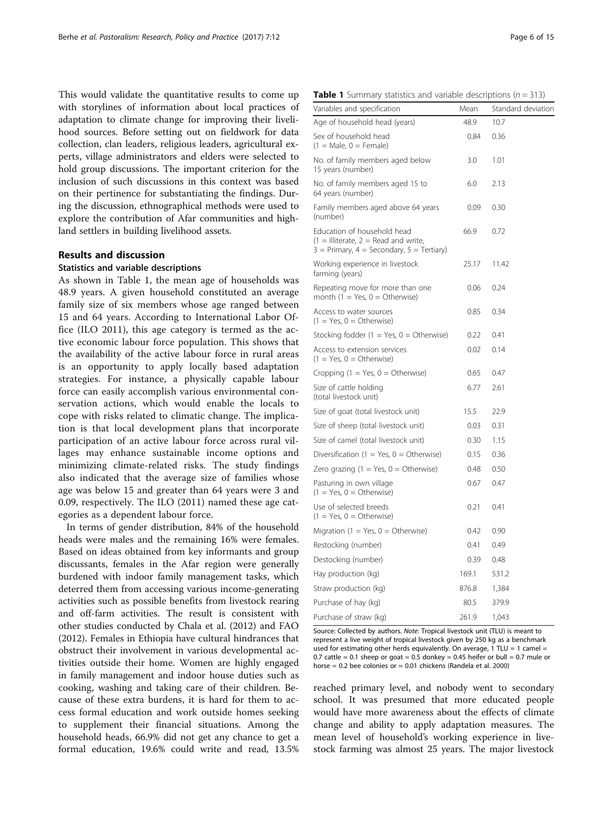<span id="page-5-0"></span>This would validate the quantitative results to come up with storylines of information about local practices of adaptation to climate change for improving their livelihood sources. Before setting out on fieldwork for data collection, clan leaders, religious leaders, agricultural experts, village administrators and elders were selected to hold group discussions. The important criterion for the inclusion of such discussions in this context was based on their pertinence for substantiating the findings. During the discussion, ethnographical methods were used to explore the contribution of Afar communities and highland settlers in building livelihood assets.

#### Results and discussion

#### Statistics and variable descriptions

As shown in Table 1, the mean age of households was 48.9 years. A given household constituted an average family size of six members whose age ranged between 15 and 64 years. According to International Labor Office (ILO [2011](#page-13-0)), this age category is termed as the active economic labour force population. This shows that the availability of the active labour force in rural areas is an opportunity to apply locally based adaptation strategies. For instance, a physically capable labour force can easily accomplish various environmental conservation actions, which would enable the locals to cope with risks related to climatic change. The implication is that local development plans that incorporate participation of an active labour force across rural villages may enhance sustainable income options and minimizing climate-related risks. The study findings also indicated that the average size of families whose age was below 15 and greater than 64 years were 3 and 0.09, respectively. The ILO ([2011\)](#page-13-0) named these age categories as a dependent labour force.

In terms of gender distribution, 84% of the household heads were males and the remaining 16% were females. Based on ideas obtained from key informants and group discussants, females in the Afar region were generally burdened with indoor family management tasks, which deterred them from accessing various income-generating activities such as possible benefits from livestock rearing and off-farm activities. The result is consistent with other studies conducted by Chala et al. [\(2012\)](#page-13-0) and FAO ([2012](#page-13-0)). Females in Ethiopia have cultural hindrances that obstruct their involvement in various developmental activities outside their home. Women are highly engaged in family management and indoor house duties such as cooking, washing and taking care of their children. Because of these extra burdens, it is hard for them to access formal education and work outside homes seeking to supplement their financial situations. Among the household heads, 66.9% did not get any chance to get a formal education, 19.6% could write and read, 13.5%

|  | <b>Table 1</b> Summary statistics and variable descriptions ( $n = 313$ ) |  |  |  |
|--|---------------------------------------------------------------------------|--|--|--|
|  |                                                                           |  |  |  |

| Variables and specification                                                                                               | Mean  | Standard deviation |
|---------------------------------------------------------------------------------------------------------------------------|-------|--------------------|
| Age of household head (years)                                                                                             | 48.9  | 10.7               |
| Sex of household head<br>$(1 = Male, 0 = Female)$                                                                         | 0.84  | 0.36               |
| No. of family members aged below<br>15 years (number)                                                                     | 3.0   | 1.01               |
| No. of family members aged 15 to<br>64 years (number)                                                                     | 6.0   | 2.13               |
| Family members aged above 64 years<br>(number)                                                                            | 0.09  | 0.30               |
| Education of household head<br>$(1 = 1$ lliterate, 2 = Read and write,<br>$3 =$ Primary, $4 =$ Secondary, $5 =$ Tertiary) | 66.9  | 0.72               |
| Working experience in livestock<br>farming (years)                                                                        | 25.17 | 11.42              |
| Repeating move for more than one<br>month $(1 = Yes, 0 = Otherwise)$                                                      | 0.06  | 0.24               |
| Access to water sources<br>$(1 = Yes, 0 = Otherwise)$                                                                     | 0.85  | 0.34               |
| Stocking fodder (1 = Yes, 0 = Otherwise)                                                                                  | 0.22  | 0.41               |
| Access to extension services<br>$(1 = Yes, 0 = Otherwise)$                                                                | 0.02  | 0.14               |
| Cropping (1 = Yes, 0 = Otherwise)                                                                                         | 0.65  | 0.47               |
| Size of cattle holding<br>(total livestock unit)                                                                          | 6.77  | 2.61               |
| Size of goat (total livestock unit)                                                                                       | 15.5  | 22.9               |
| Size of sheep (total livestock unit)                                                                                      | 0.03  | 0.31               |
| Size of camel (total livestock unit)                                                                                      | 0.30  | 1.15               |
| Diversification (1 = Yes, $0 =$ Otherwise)                                                                                | 0.15  | 0.36               |
| Zero grazing $(1 = Yes, 0 = Otherwise)$                                                                                   | 0.48  | 0.50               |
| Pasturing in own village<br>$(1 = Yes, 0 = Otherwise)$                                                                    | 0.67  | 0.47               |
| Use of selected breeds<br>$(1 = Yes, 0 = Otherwise)$                                                                      | 0.21  | 0.41               |
| Migration (1 = Yes, 0 = Otherwise)                                                                                        | 0.42  | 0.90               |
| Restocking (number)                                                                                                       | 0.41  | 0.49               |
| Destocking (number)                                                                                                       | 0.39  | 0.48               |
| Hay production (kg)                                                                                                       | 169.1 | 531.2              |
| Straw production (kg)                                                                                                     | 876.8 | 1,384              |
| Purchase of hay (kg)                                                                                                      | 80.5  | 379.9              |
| Purchase of straw (kg)                                                                                                    | 261.9 | 1,043              |

Source: Collected by authors. Note: Tropical livestock unit (TLU) is meant to represent a live weight of tropical livestock given by 250 kg as a benchmark used for estimating other herds equivalently. On average, 1 TLU = 1 camel = 0.7 cattle = 0.1 sheep or goat = 0.5 donkey = 0.45 heifer or bull = 0.7 mule or horse  $= 0.2$  bee colonies or  $= 0.01$  chickens (Randela et al. [2000](#page-14-0))

reached primary level, and nobody went to secondary school. It was presumed that more educated people would have more awareness about the effects of climate change and ability to apply adaptation measures. The mean level of household's working experience in livestock farming was almost 25 years. The major livestock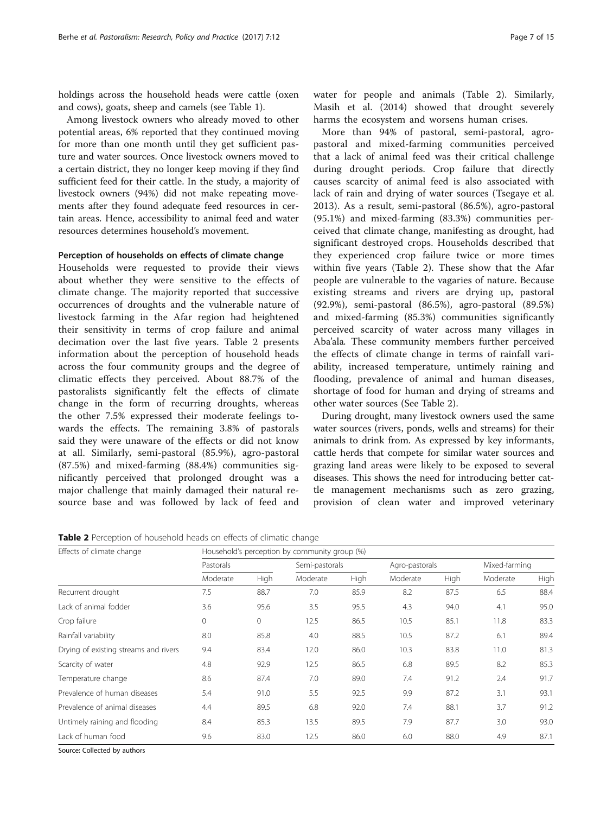holdings across the household heads were cattle (oxen and cows), goats, sheep and camels (see Table [1](#page-5-0)).

Among livestock owners who already moved to other potential areas, 6% reported that they continued moving for more than one month until they get sufficient pasture and water sources. Once livestock owners moved to a certain district, they no longer keep moving if they find sufficient feed for their cattle. In the study, a majority of livestock owners (94%) did not make repeating movements after they found adequate feed resources in certain areas. Hence, accessibility to animal feed and water resources determines household's movement.

#### Perception of households on effects of climate change

Households were requested to provide their views about whether they were sensitive to the effects of climate change. The majority reported that successive occurrences of droughts and the vulnerable nature of livestock farming in the Afar region had heightened their sensitivity in terms of crop failure and animal decimation over the last five years. Table 2 presents information about the perception of household heads across the four community groups and the degree of climatic effects they perceived. About 88.7% of the pastoralists significantly felt the effects of climate change in the form of recurring droughts, whereas the other 7.5% expressed their moderate feelings towards the effects. The remaining 3.8% of pastorals said they were unaware of the effects or did not know at all. Similarly, semi-pastoral (85.9%), agro-pastoral (87.5%) and mixed-farming (88.4%) communities significantly perceived that prolonged drought was a major challenge that mainly damaged their natural resource base and was followed by lack of feed and

More than 94% of pastoral, semi-pastoral, agropastoral and mixed-farming communities perceived that a lack of animal feed was their critical challenge during drought periods. Crop failure that directly causes scarcity of animal feed is also associated with lack of rain and drying of water sources (Tsegaye et al. [2013\)](#page-14-0). As a result, semi-pastoral (86.5%), agro-pastoral (95.1%) and mixed-farming (83.3%) communities perceived that climate change, manifesting as drought, had significant destroyed crops. Households described that they experienced crop failure twice or more times within five years (Table 2). These show that the Afar people are vulnerable to the vagaries of nature. Because existing streams and rivers are drying up, pastoral (92.9%), semi-pastoral (86.5%), agro-pastoral (89.5%) and mixed-farming (85.3%) communities significantly perceived scarcity of water across many villages in Aba'ala. These community members further perceived the effects of climate change in terms of rainfall variability, increased temperature, untimely raining and flooding, prevalence of animal and human diseases, shortage of food for human and drying of streams and other water sources (See Table 2).

During drought, many livestock owners used the same water sources (rivers, ponds, wells and streams) for their animals to drink from. As expressed by key informants, cattle herds that compete for similar water sources and grazing land areas were likely to be exposed to several diseases. This shows the need for introducing better cattle management mechanisms such as zero grazing, provision of clean water and improved veterinary

|  | Table 2 Perception of household heads on effects of climatic change |  |  |  |
|--|---------------------------------------------------------------------|--|--|--|
|  |                                                                     |  |  |  |

| Effects of climate change             | Household's perception by community group (%) |             |                |             |                |             |               |      |  |  |
|---------------------------------------|-----------------------------------------------|-------------|----------------|-------------|----------------|-------------|---------------|------|--|--|
|                                       | Pastorals                                     |             | Semi-pastorals |             | Agro-pastorals |             | Mixed-farming |      |  |  |
|                                       | Moderate                                      | High        | Moderate       | <b>High</b> | Moderate       | <b>High</b> | Moderate      | High |  |  |
| Recurrent drought                     | 7.5                                           | 88.7        | 7.0            | 85.9        | 8.2            | 87.5        | 6.5           | 88.4 |  |  |
| Lack of animal fodder                 | 3.6                                           | 95.6        | 3.5            | 95.5        | 4.3            | 94.0        | 4.1           | 95.0 |  |  |
| Crop failure                          | 0                                             | $\mathbf 0$ | 12.5           | 86.5        | 10.5           | 85.1        | 11.8          | 83.3 |  |  |
| Rainfall variability                  | 8.0                                           | 85.8        | 4.0            | 88.5        | 10.5           | 87.2        | 6.1           | 89.4 |  |  |
| Drying of existing streams and rivers | 9.4                                           | 83.4        | 12.0           | 86.0        | 10.3           | 83.8        | 11.0          | 81.3 |  |  |
| Scarcity of water                     | 4.8                                           | 92.9        | 12.5           | 86.5        | 6.8            | 89.5        | 8.2           | 85.3 |  |  |
| Temperature change                    | 8.6                                           | 87.4        | 7.0            | 89.0        | 7.4            | 91.2        | 2.4           | 91.7 |  |  |
| Prevalence of human diseases          | 5.4                                           | 91.0        | 5.5            | 92.5        | 9.9            | 87.2        | 3.1           | 93.1 |  |  |
| Prevalence of animal diseases         | 4.4                                           | 89.5        | 6.8            | 92.0        | 7.4            | 88.1        | 3.7           | 91.2 |  |  |
| Untimely raining and flooding         | 8.4                                           | 85.3        | 13.5           | 89.5        | 7.9            | 87.7        | 3.0           | 93.0 |  |  |
| Lack of human food                    | 9.6                                           | 83.0        | 12.5           | 86.0        | 6.0            | 88.0        | 4.9           | 87.1 |  |  |

Source: Collected by authors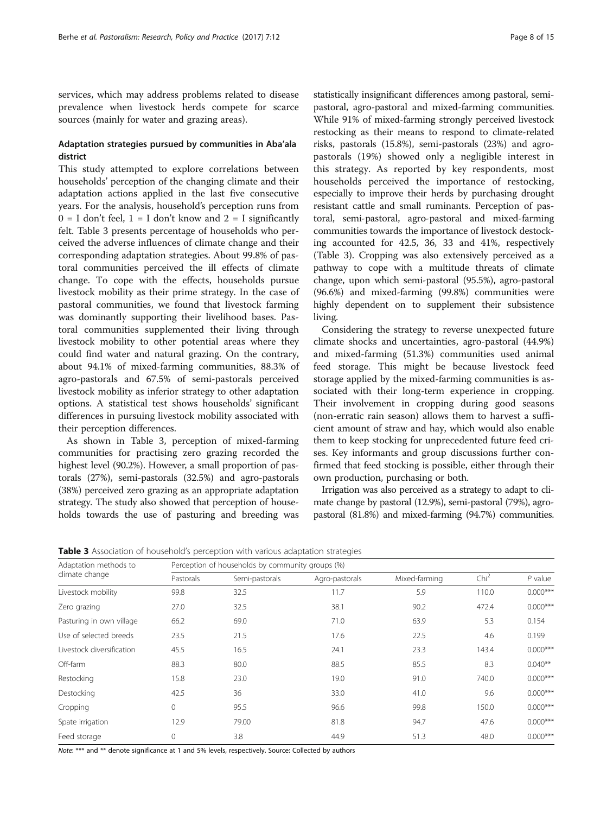services, which may address problems related to disease prevalence when livestock herds compete for scarce sources (mainly for water and grazing areas).

### Adaptation strategies pursued by communities in Aba'ala district

This study attempted to explore correlations between households' perception of the changing climate and their adaptation actions applied in the last five consecutive years. For the analysis, household's perception runs from  $0 = I$  don't feel,  $1 = I$  don't know and  $2 = I$  significantly felt. Table 3 presents percentage of households who perceived the adverse influences of climate change and their corresponding adaptation strategies. About 99.8% of pastoral communities perceived the ill effects of climate change. To cope with the effects, households pursue livestock mobility as their prime strategy. In the case of pastoral communities, we found that livestock farming was dominantly supporting their livelihood bases. Pastoral communities supplemented their living through livestock mobility to other potential areas where they could find water and natural grazing. On the contrary, about 94.1% of mixed-farming communities, 88.3% of agro-pastorals and 67.5% of semi-pastorals perceived livestock mobility as inferior strategy to other adaptation options. A statistical test shows households' significant differences in pursuing livestock mobility associated with their perception differences.

As shown in Table 3, perception of mixed-farming communities for practising zero grazing recorded the highest level (90.2%). However, a small proportion of pastorals (27%), semi-pastorals (32.5%) and agro-pastorals (38%) perceived zero grazing as an appropriate adaptation strategy. The study also showed that perception of households towards the use of pasturing and breeding was statistically insignificant differences among pastoral, semipastoral, agro-pastoral and mixed-farming communities. While 91% of mixed-farming strongly perceived livestock restocking as their means to respond to climate-related risks, pastorals (15.8%), semi-pastorals (23%) and agropastorals (19%) showed only a negligible interest in this strategy. As reported by key respondents, most households perceived the importance of restocking, especially to improve their herds by purchasing drought resistant cattle and small ruminants. Perception of pastoral, semi-pastoral, agro-pastoral and mixed-farming communities towards the importance of livestock destocking accounted for 42.5, 36, 33 and 41%, respectively (Table 3). Cropping was also extensively perceived as a pathway to cope with a multitude threats of climate change, upon which semi-pastoral (95.5%), agro-pastoral (96.6%) and mixed-farming (99.8%) communities were highly dependent on to supplement their subsistence living.

Considering the strategy to reverse unexpected future climate shocks and uncertainties, agro-pastoral (44.9%) and mixed-farming (51.3%) communities used animal feed storage. This might be because livestock feed storage applied by the mixed-farming communities is associated with their long-term experience in cropping. Their involvement in cropping during good seasons (non-erratic rain season) allows them to harvest a sufficient amount of straw and hay, which would also enable them to keep stocking for unprecedented future feed crises. Key informants and group discussions further confirmed that feed stocking is possible, either through their own production, purchasing or both.

Irrigation was also perceived as a strategy to adapt to climate change by pastoral (12.9%), semi-pastoral (79%), agropastoral (81.8%) and mixed-farming (94.7%) communities.

Table 3 Association of household's perception with various adaptation strategies

| Adaptation methods to     |           | Perception of households by community groups (%) |                |               |                                                                                                                                               |            |
|---------------------------|-----------|--------------------------------------------------|----------------|---------------|-----------------------------------------------------------------------------------------------------------------------------------------------|------------|
| climate change            | Pastorals | Semi-pastorals                                   | Agro-pastorals | Mixed-farming | Chi <sup>2</sup><br>$P$ value<br>110.0<br>472.4<br>5.3<br>0.154<br>0.199<br>4.6<br>143.4<br>8.3<br>$0.040**$<br>740.0<br>9.6<br>150.0<br>47.6 |            |
| Livestock mobility        | 99.8      | 32.5                                             | 11.7           | 5.9           |                                                                                                                                               | $0.000***$ |
| Zero grazing              | 27.0      | 32.5                                             | 38.1           | 90.2          |                                                                                                                                               | $0.000***$ |
| Pasturing in own village  | 66.2      | 69.0                                             | 71.0           | 63.9          |                                                                                                                                               |            |
| Use of selected breeds    | 23.5      | 21.5                                             | 17.6           | 22.5          |                                                                                                                                               |            |
| Livestock diversification | 45.5      | 16.5                                             | 24.1           | 23.3          |                                                                                                                                               | $0.000***$ |
| Off-farm                  | 88.3      | 80.0                                             | 88.5           | 85.5          |                                                                                                                                               |            |
| Restocking                | 15.8      | 23.0                                             | 19.0           | 91.0          |                                                                                                                                               | $0.000***$ |
| Destocking                | 42.5      | 36                                               | 33.0           | 41.0          |                                                                                                                                               | $0.000***$ |
| Cropping                  | 0         | 95.5                                             | 96.6           | 99.8          |                                                                                                                                               | $0.000***$ |
| Spate irrigation          | 12.9      | 79.00                                            | 81.8           | 94.7          |                                                                                                                                               | $0.000***$ |
| Feed storage              | 0         | 3.8                                              | 44.9           | 51.3          | 48.0                                                                                                                                          | $0.000***$ |

Note: \*\*\* and \*\* denote significance at 1 and 5% levels, respectively. Source: Collected by authors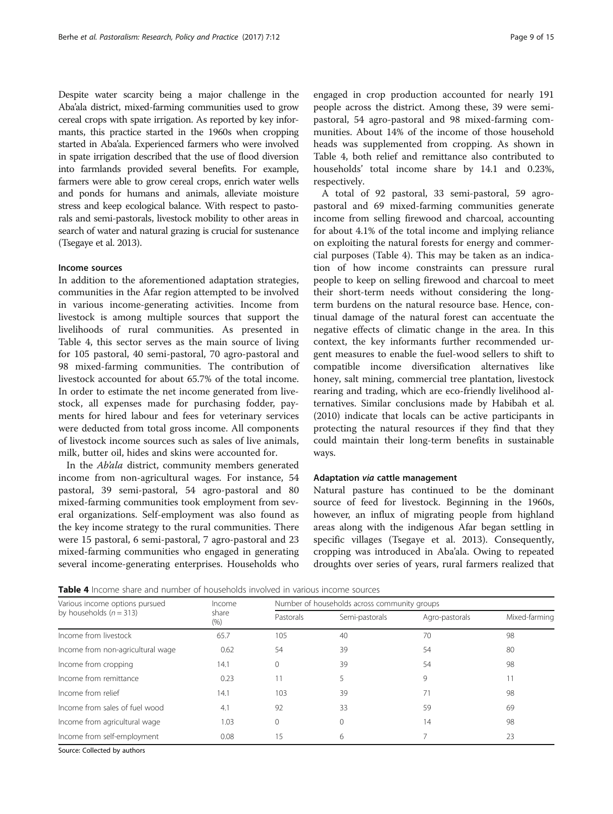Despite water scarcity being a major challenge in the Aba'ala district, mixed-farming communities used to grow cereal crops with spate irrigation. As reported by key informants, this practice started in the 1960s when cropping started in Aba'ala. Experienced farmers who were involved in spate irrigation described that the use of flood diversion into farmlands provided several benefits. For example, farmers were able to grow cereal crops, enrich water wells and ponds for humans and animals, alleviate moisture stress and keep ecological balance. With respect to pastorals and semi-pastorals, livestock mobility to other areas in search of water and natural grazing is crucial for sustenance

### Income sources

(Tsegaye et al. [2013\)](#page-14-0).

In addition to the aforementioned adaptation strategies, communities in the Afar region attempted to be involved in various income-generating activities. Income from livestock is among multiple sources that support the livelihoods of rural communities. As presented in Table 4, this sector serves as the main source of living for 105 pastoral, 40 semi-pastoral, 70 agro-pastoral and 98 mixed-farming communities. The contribution of livestock accounted for about 65.7% of the total income. In order to estimate the net income generated from livestock, all expenses made for purchasing fodder, payments for hired labour and fees for veterinary services were deducted from total gross income. All components of livestock income sources such as sales of live animals, milk, butter oil, hides and skins were accounted for.

In the Ab'ala district, community members generated income from non-agricultural wages. For instance, 54 pastoral, 39 semi-pastoral, 54 agro-pastoral and 80 mixed-farming communities took employment from several organizations. Self-employment was also found as the key income strategy to the rural communities. There were 15 pastoral, 6 semi-pastoral, 7 agro-pastoral and 23 mixed-farming communities who engaged in generating several income-generating enterprises. Households who

engaged in crop production accounted for nearly 191 people across the district. Among these, 39 were semipastoral, 54 agro-pastoral and 98 mixed-farming communities. About 14% of the income of those household heads was supplemented from cropping. As shown in Table 4, both relief and remittance also contributed to households' total income share by 14.1 and 0.23%, respectively.

A total of 92 pastoral, 33 semi-pastoral, 59 agropastoral and 69 mixed-farming communities generate income from selling firewood and charcoal, accounting for about 4.1% of the total income and implying reliance on exploiting the natural forests for energy and commercial purposes (Table 4). This may be taken as an indication of how income constraints can pressure rural people to keep on selling firewood and charcoal to meet their short-term needs without considering the longterm burdens on the natural resource base. Hence, continual damage of the natural forest can accentuate the negative effects of climatic change in the area. In this context, the key informants further recommended urgent measures to enable the fuel-wood sellers to shift to compatible income diversification alternatives like honey, salt mining, commercial tree plantation, livestock rearing and trading, which are eco-friendly livelihood alternatives. Similar conclusions made by Habibah et al. ([2010\)](#page-13-0) indicate that locals can be active participants in protecting the natural resources if they find that they could maintain their long-term benefits in sustainable ways.

#### Adaptation via cattle management

Natural pasture has continued to be the dominant source of feed for livestock. Beginning in the 1960s, however, an influx of migrating people from highland areas along with the indigenous Afar began settling in specific villages (Tsegaye et al. [2013\)](#page-14-0). Consequently, cropping was introduced in Aba'ala. Owing to repeated droughts over series of years, rural farmers realized that

**Table 4** Income share and number of households involved in various income sources

| Various income options pursued    | Income           | Number of households across community groups |                |                |               |  |  |  |
|-----------------------------------|------------------|----------------------------------------------|----------------|----------------|---------------|--|--|--|
| by households $(n = 313)$         | share<br>$(\% )$ | Pastorals                                    | Semi-pastorals | Agro-pastorals | Mixed-farming |  |  |  |
| Income from livestock             | 65.7             | 105                                          | 40             | 70             | 98            |  |  |  |
| Income from non-agricultural wage | 0.62             | 54                                           | 39             | 54             | 80            |  |  |  |
| Income from cropping              | 14.1             |                                              | 39             | 54             | 98            |  |  |  |
| Income from remittance            | 0.23             | 11                                           | 5              | 9              | 11            |  |  |  |
| Income from relief                | 14.1             | 103                                          | 39             | 71             | 98            |  |  |  |
| Income from sales of fuel wood    | 4.1              | 92                                           | 33             | 59             | 69            |  |  |  |
| Income from agricultural wage     | 1.03             | $\Omega$                                     | $\Omega$       | 14             | 98            |  |  |  |
| Income from self-employment       | 0.08             | 15                                           | 6              |                | 23            |  |  |  |

Source: Collected by authors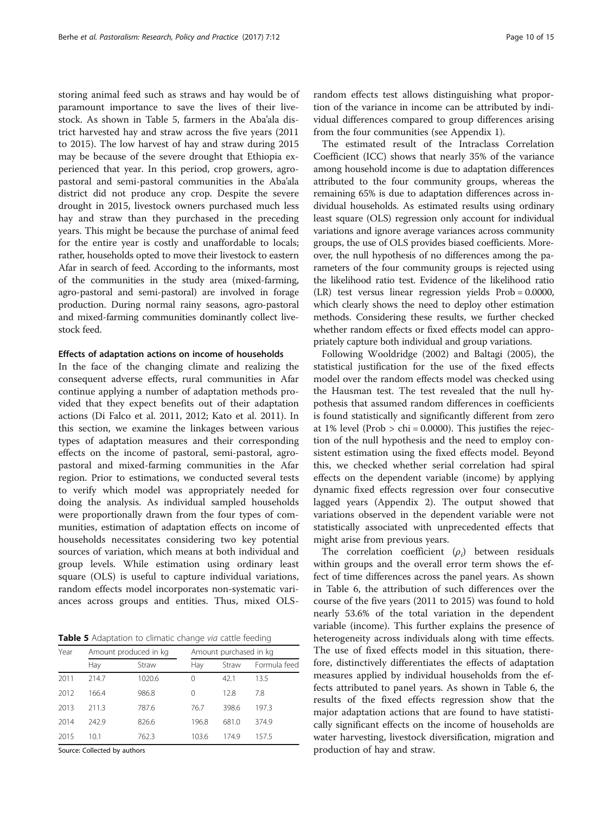storing animal feed such as straws and hay would be of paramount importance to save the lives of their livestock. As shown in Table 5, farmers in the Aba'ala district harvested hay and straw across the five years (2011 to 2015). The low harvest of hay and straw during 2015 may be because of the severe drought that Ethiopia experienced that year. In this period, crop growers, agropastoral and semi-pastoral communities in the Aba'ala district did not produce any crop. Despite the severe drought in 2015, livestock owners purchased much less hay and straw than they purchased in the preceding years. This might be because the purchase of animal feed for the entire year is costly and unaffordable to locals; rather, households opted to move their livestock to eastern Afar in search of feed. According to the informants, most of the communities in the study area (mixed-farming, agro-pastoral and semi-pastoral) are involved in forage production. During normal rainy seasons, agro-pastoral and mixed-farming communities dominantly collect livestock feed.

#### Effects of adaptation actions on income of households

In the face of the changing climate and realizing the consequent adverse effects, rural communities in Afar continue applying a number of adaptation methods provided that they expect benefits out of their adaptation actions (Di Falco et al. [2011, 2012](#page-13-0); Kato et al. [2011\)](#page-13-0). In this section, we examine the linkages between various types of adaptation measures and their corresponding effects on the income of pastoral, semi-pastoral, agropastoral and mixed-farming communities in the Afar region. Prior to estimations, we conducted several tests to verify which model was appropriately needed for doing the analysis. As individual sampled households were proportionally drawn from the four types of communities, estimation of adaptation effects on income of households necessitates considering two key potential sources of variation, which means at both individual and group levels. While estimation using ordinary least square (OLS) is useful to capture individual variations, random effects model incorporates non-systematic variances across groups and entities. Thus, mixed OLS-

Table 5 Adaptation to climatic change via cattle feeding

| Year |       | Amount produced in kg |       | Amount purchased in kg |              |  |  |  |
|------|-------|-----------------------|-------|------------------------|--------------|--|--|--|
|      | Hay   | Straw                 | Hay   | Straw                  | Formula feed |  |  |  |
| 2011 | 214.7 | 1020.6                | 0     | 42.1                   | 13.5         |  |  |  |
| 2012 | 166.4 | 986.8                 | 0     | 12.8                   | 7.8          |  |  |  |
| 2013 | 211.3 | 787.6                 | 76.7  | 398.6                  | 197.3        |  |  |  |
| 2014 | 242.9 | 826.6                 | 196.8 | 681.0                  | 374.9        |  |  |  |
| 2015 | 10.1  | 762.3                 | 103.6 | 1749                   | 157.5        |  |  |  |

Source: Collected by authors

random effects test allows distinguishing what proportion of the variance in income can be attributed by individual differences compared to group differences arising from the four communities (see Appendix [1\)](#page-12-0).

The estimated result of the Intraclass Correlation Coefficient (ICC) shows that nearly 35% of the variance among household income is due to adaptation differences attributed to the four community groups, whereas the remaining 65% is due to adaptation differences across individual households. As estimated results using ordinary least square (OLS) regression only account for individual variations and ignore average variances across community groups, the use of OLS provides biased coefficients. Moreover, the null hypothesis of no differences among the parameters of the four community groups is rejected using the likelihood ratio test. Evidence of the likelihood ratio (LR) test versus linear regression yields Prob = 0.0000, which clearly shows the need to deploy other estimation methods. Considering these results, we further checked whether random effects or fixed effects model can appropriately capture both individual and group variations.

Following Wooldridge ([2002](#page-14-0)) and Baltagi [\(2005\)](#page-13-0), the statistical justification for the use of the fixed effects model over the random effects model was checked using the Hausman test. The test revealed that the null hypothesis that assumed random differences in coefficients is found statistically and significantly different from zero at 1% level (Prob  $>$  chi = 0.0000). This justifies the rejection of the null hypothesis and the need to employ consistent estimation using the fixed effects model. Beyond this, we checked whether serial correlation had spiral effects on the dependent variable (income) by applying dynamic fixed effects regression over four consecutive lagged years (Appendix [2\)](#page-12-0). The output showed that variations observed in the dependent variable were not statistically associated with unprecedented effects that might arise from previous years.

The correlation coefficient  $(\rho_i)$  between residuals within groups and the overall error term shows the effect of time differences across the panel years. As shown in Table [6](#page-10-0), the attribution of such differences over the course of the five years (2011 to 2015) was found to hold nearly 53.6% of the total variation in the dependent variable (income). This further explains the presence of heterogeneity across individuals along with time effects. The use of fixed effects model in this situation, therefore, distinctively differentiates the effects of adaptation measures applied by individual households from the effects attributed to panel years. As shown in Table [6](#page-10-0), the results of the fixed effects regression show that the major adaptation actions that are found to have statistically significant effects on the income of households are water harvesting, livestock diversification, migration and production of hay and straw.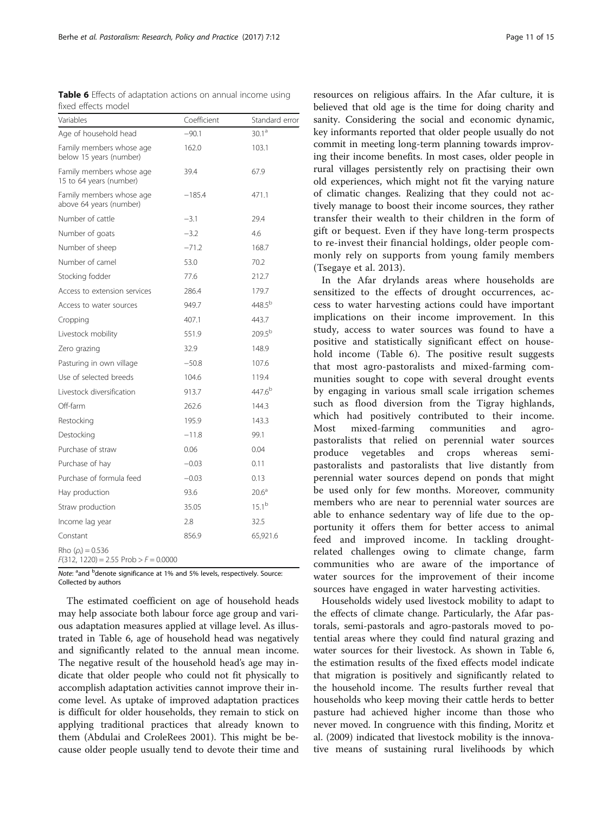<span id="page-10-0"></span>Berhe et al. Pastoralism: Research, Policy and Practice (2017) 7:12 Page 11 of 15

| Variables                                                           | Coefficient | Standard error     |
|---------------------------------------------------------------------|-------------|--------------------|
| Age of household head                                               | $-90.1$     | 30.1 <sup>a</sup>  |
| Family members whose age<br>below 15 years (number)                 | 162.0       | 103.1              |
| Family members whose age<br>15 to 64 years (number)                 | 39.4        | 67.9               |
| Family members whose age<br>above 64 years (number)                 | $-185.4$    | 471.1              |
| Number of cattle                                                    | $-3.1$      | 29.4               |
| Number of goats                                                     | $-3.2$      | 4.6                |
| Number of sheep                                                     | $-71.2$     | 168.7              |
| Number of camel                                                     | 53.0        | 70.2               |
| Stocking fodder                                                     | 77.6        | 212.7              |
| Access to extension services                                        | 286.4       | 179.7              |
| Access to water sources                                             | 949.7       | $448.5^{b}$        |
| Cropping                                                            | 407.1       | 443.7              |
| Livestock mobility                                                  | 551.9       | $209.5^{b}$        |
| Zero grazing                                                        | 32.9        | 148.9              |
| Pasturing in own village                                            | $-50.8$     | 107.6              |
| Use of selected breeds                                              | 104.6       | 119.4              |
| Livestock diversification                                           | 913.7       | 447.6 <sup>b</sup> |
| Off-farm                                                            | 262.6       | 144.3              |
| Restocking                                                          | 195.9       | 143.3              |
| Destocking                                                          | $-11.8$     | 99.1               |
| Purchase of straw                                                   | 0.06        | 0.04               |
| Purchase of hay                                                     | $-0.03$     | 0.11               |
| Purchase of formula feed                                            | $-0.03$     | 0.13               |
| Hay production                                                      | 93.6        | 20.6 <sup>a</sup>  |
| Straw production                                                    | 35.05       | 15.1 <sup>b</sup>  |
| Income lag year                                                     | 2.8         | 32.5               |
| Constant                                                            | 856.9       | 65,921.6           |
| Rho $(\rho_i) = 0.536$<br>$F(312, 1220) = 2.55$ Prob > $F = 0.0000$ |             |                    |

Table 6 Effects of adaptation actions on annual income using fixed effects model

Note: <sup>a</sup>and <sup>b</sup>denote significance at 1% and 5% levels, respectively. Source: Collected by authors

The estimated coefficient on age of household heads may help associate both labour force age group and various adaptation measures applied at village level. As illustrated in Table 6, age of household head was negatively and significantly related to the annual mean income. The negative result of the household head's age may indicate that older people who could not fit physically to accomplish adaptation activities cannot improve their income level. As uptake of improved adaptation practices is difficult for older households, they remain to stick on applying traditional practices that already known to them (Abdulai and CroleRees [2001\)](#page-13-0). This might be because older people usually tend to devote their time and

resources on religious affairs. In the Afar culture, it is believed that old age is the time for doing charity and sanity. Considering the social and economic dynamic, key informants reported that older people usually do not commit in meeting long-term planning towards improving their income benefits. In most cases, older people in rural villages persistently rely on practising their own old experiences, which might not fit the varying nature of climatic changes. Realizing that they could not actively manage to boost their income sources, they rather transfer their wealth to their children in the form of gift or bequest. Even if they have long-term prospects to re-invest their financial holdings, older people commonly rely on supports from young family members (Tsegaye et al. [2013](#page-14-0)).

In the Afar drylands areas where households are sensitized to the effects of drought occurrences, access to water harvesting actions could have important implications on their income improvement. In this study, access to water sources was found to have a positive and statistically significant effect on household income (Table 6). The positive result suggests that most agro-pastoralists and mixed-farming communities sought to cope with several drought events by engaging in various small scale irrigation schemes such as flood diversion from the Tigray highlands, which had positively contributed to their income. Most mixed-farming communities and agropastoralists that relied on perennial water sources produce vegetables and crops whereas semipastoralists and pastoralists that live distantly from perennial water sources depend on ponds that might be used only for few months. Moreover, community members who are near to perennial water sources are able to enhance sedentary way of life due to the opportunity it offers them for better access to animal feed and improved income. In tackling droughtrelated challenges owing to climate change, farm communities who are aware of the importance of water sources for the improvement of their income sources have engaged in water harvesting activities.

Households widely used livestock mobility to adapt to the effects of climate change. Particularly, the Afar pastorals, semi-pastorals and agro-pastorals moved to potential areas where they could find natural grazing and water sources for their livestock. As shown in Table 6, the estimation results of the fixed effects model indicate that migration is positively and significantly related to the household income. The results further reveal that households who keep moving their cattle herds to better pasture had achieved higher income than those who never moved. In congruence with this finding, Moritz et al. [\(2009\)](#page-13-0) indicated that livestock mobility is the innovative means of sustaining rural livelihoods by which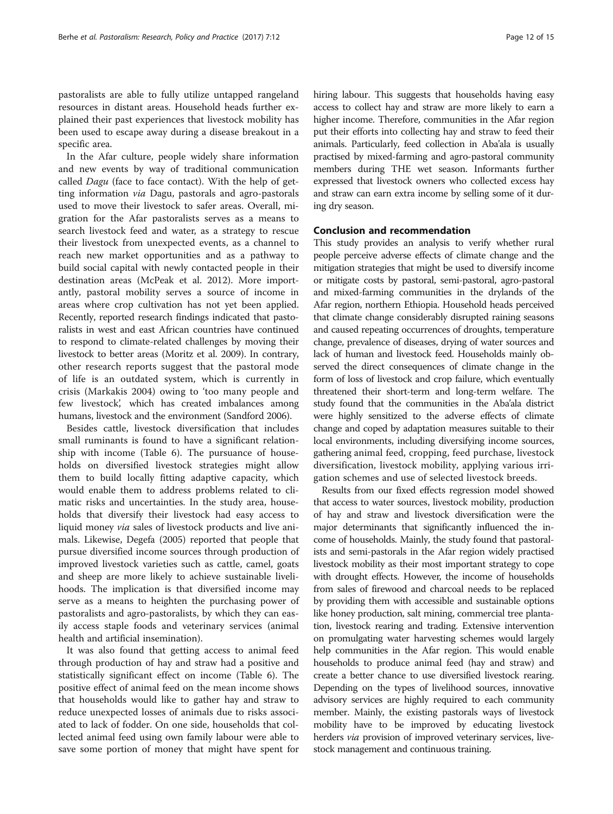pastoralists are able to fully utilize untapped rangeland resources in distant areas. Household heads further explained their past experiences that livestock mobility has been used to escape away during a disease breakout in a specific area.

In the Afar culture, people widely share information and new events by way of traditional communication called *Dagu* (face to face contact). With the help of getting information via Dagu, pastorals and agro-pastorals used to move their livestock to safer areas. Overall, migration for the Afar pastoralists serves as a means to search livestock feed and water, as a strategy to rescue their livestock from unexpected events, as a channel to reach new market opportunities and as a pathway to build social capital with newly contacted people in their destination areas (McPeak et al. [2012](#page-13-0)). More importantly, pastoral mobility serves a source of income in areas where crop cultivation has not yet been applied. Recently, reported research findings indicated that pastoralists in west and east African countries have continued to respond to climate-related challenges by moving their livestock to better areas (Moritz et al. [2009](#page-13-0)). In contrary, other research reports suggest that the pastoral mode of life is an outdated system, which is currently in crisis (Markakis [2004\)](#page-13-0) owing to 'too many people and few livestock', which has created imbalances among humans, livestock and the environment (Sandford [2006](#page-14-0)).

Besides cattle, livestock diversification that includes small ruminants is found to have a significant relationship with income (Table [6\)](#page-10-0). The pursuance of households on diversified livestock strategies might allow them to build locally fitting adaptive capacity, which would enable them to address problems related to climatic risks and uncertainties. In the study area, households that diversify their livestock had easy access to liquid money via sales of livestock products and live animals. Likewise, Degefa ([2005\)](#page-13-0) reported that people that pursue diversified income sources through production of improved livestock varieties such as cattle, camel, goats and sheep are more likely to achieve sustainable livelihoods. The implication is that diversified income may serve as a means to heighten the purchasing power of pastoralists and agro-pastoralists, by which they can easily access staple foods and veterinary services (animal health and artificial insemination).

It was also found that getting access to animal feed through production of hay and straw had a positive and statistically significant effect on income (Table [6](#page-10-0)). The positive effect of animal feed on the mean income shows that households would like to gather hay and straw to reduce unexpected losses of animals due to risks associated to lack of fodder. On one side, households that collected animal feed using own family labour were able to save some portion of money that might have spent for hiring labour. This suggests that households having easy access to collect hay and straw are more likely to earn a higher income. Therefore, communities in the Afar region put their efforts into collecting hay and straw to feed their animals. Particularly, feed collection in Aba'ala is usually practised by mixed-farming and agro-pastoral community members during THE wet season. Informants further expressed that livestock owners who collected excess hay and straw can earn extra income by selling some of it during dry season.

#### Conclusion and recommendation

This study provides an analysis to verify whether rural people perceive adverse effects of climate change and the mitigation strategies that might be used to diversify income or mitigate costs by pastoral, semi-pastoral, agro-pastoral and mixed-farming communities in the drylands of the Afar region, northern Ethiopia. Household heads perceived that climate change considerably disrupted raining seasons and caused repeating occurrences of droughts, temperature change, prevalence of diseases, drying of water sources and lack of human and livestock feed. Households mainly observed the direct consequences of climate change in the form of loss of livestock and crop failure, which eventually threatened their short-term and long-term welfare. The study found that the communities in the Aba'ala district were highly sensitized to the adverse effects of climate change and coped by adaptation measures suitable to their local environments, including diversifying income sources, gathering animal feed, cropping, feed purchase, livestock diversification, livestock mobility, applying various irrigation schemes and use of selected livestock breeds.

Results from our fixed effects regression model showed that access to water sources, livestock mobility, production of hay and straw and livestock diversification were the major determinants that significantly influenced the income of households. Mainly, the study found that pastoralists and semi-pastorals in the Afar region widely practised livestock mobility as their most important strategy to cope with drought effects. However, the income of households from sales of firewood and charcoal needs to be replaced by providing them with accessible and sustainable options like honey production, salt mining, commercial tree plantation, livestock rearing and trading. Extensive intervention on promulgating water harvesting schemes would largely help communities in the Afar region. This would enable households to produce animal feed (hay and straw) and create a better chance to use diversified livestock rearing. Depending on the types of livelihood sources, innovative advisory services are highly required to each community member. Mainly, the existing pastorals ways of livestock mobility have to be improved by educating livestock herders *via* provision of improved veterinary services, livestock management and continuous training.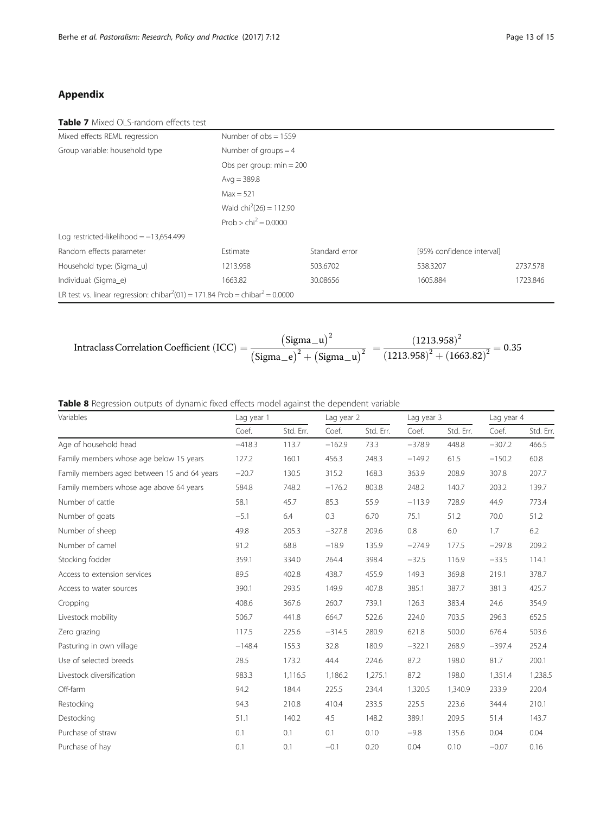### <span id="page-12-0"></span>Appendix

#### Table 7 Mixed OLS-random effects test

| Mixed effects REML regression                                                                        | Number of $obs = 1559$             |                |                           |          |  |  |  |  |
|------------------------------------------------------------------------------------------------------|------------------------------------|----------------|---------------------------|----------|--|--|--|--|
| Group variable: household type                                                                       | Number of groups $=$ 4             |                |                           |          |  |  |  |  |
|                                                                                                      | Obs per group: $min = 200$         |                |                           |          |  |  |  |  |
|                                                                                                      | Avg = $389.8$                      |                |                           |          |  |  |  |  |
|                                                                                                      | $Max = 521$                        |                |                           |          |  |  |  |  |
|                                                                                                      | Wald $\text{chi}^2(26) = 112.90$   |                |                           |          |  |  |  |  |
|                                                                                                      | Prob $>$ chi <sup>2</sup> = 0.0000 |                |                           |          |  |  |  |  |
| Log restricted-likelihood $= -13,654.499$                                                            |                                    |                |                           |          |  |  |  |  |
| Random effects parameter                                                                             | Estimate                           | Standard error | [95% confidence interval] |          |  |  |  |  |
| Household type: (Sigma_u)                                                                            | 1213.958                           | 503.6702       | 538.3207                  | 2737.578 |  |  |  |  |
| Individual: (Sigma e)                                                                                | 1663.82                            | 30.08656       | 1605.884                  | 1723.846 |  |  |  |  |
| LR test vs. linear regression: chibar <sup>2</sup> (01) = 171.84 Prob = chibar <sup>2</sup> = 0.0000 |                                    |                |                           |          |  |  |  |  |

$$
Intraclass Correlation Coefficient (ICC) = \frac{(Sigma_{-u})^2}{(Sigma_{-e})^2 + (Sigma_{-u})^2} = \frac{(1213.958)^2}{(1213.958)^2 + (1663.82)^2} = 0.35
$$

### Table 8 Regression outputs of dynamic fixed effects model against the dependent variable

| Variables                                   | Lag year 1 |           |          | Lag year 2 |          | Lag year 3 |          | Lag year 4 |  |
|---------------------------------------------|------------|-----------|----------|------------|----------|------------|----------|------------|--|
|                                             | Coef.      | Std. Err. | Coef.    | Std. Err.  | Coef.    | Std. Err.  | Coef.    | Std. Err.  |  |
| Age of household head                       | $-418.3$   | 113.7     | $-162.9$ | 73.3       | $-378.9$ | 448.8      | $-307.2$ | 466.5      |  |
| Family members whose age below 15 years     | 127.2      | 160.1     | 456.3    | 248.3      | $-149.2$ | 61.5       | $-150.2$ | 60.8       |  |
| Family members aged between 15 and 64 years | $-20.7$    | 130.5     | 315.2    | 168.3      | 363.9    | 208.9      | 307.8    | 207.7      |  |
| Family members whose age above 64 years     | 584.8      | 748.2     | $-176.2$ | 803.8      | 248.2    | 140.7      | 203.2    | 139.7      |  |
| Number of cattle                            | 58.1       | 45.7      | 85.3     | 55.9       | $-113.9$ | 728.9      | 44.9     | 773.4      |  |
| Number of goats                             | $-5.1$     | 6.4       | 0.3      | 6.70       | 75.1     | 51.2       | 70.0     | 51.2       |  |
| Number of sheep                             | 49.8       | 205.3     | $-327.8$ | 209.6      | 0.8      | 6.0        | 1.7      | 6.2        |  |
| Number of camel                             | 91.2       | 68.8      | $-18.9$  | 135.9      | $-274.9$ | 177.5      | $-297.8$ | 209.2      |  |
| Stocking fodder                             | 359.1      | 334.0     | 264.4    | 398.4      | $-32.5$  | 116.9      | $-33.5$  | 114.1      |  |
| Access to extension services                | 89.5       | 402.8     | 438.7    | 455.9      | 149.3    | 369.8      | 219.1    | 378.7      |  |
| Access to water sources                     | 390.1      | 293.5     | 149.9    | 407.8      | 385.1    | 387.7      | 381.3    | 425.7      |  |
| Cropping                                    | 408.6      | 367.6     | 260.7    | 739.1      | 126.3    | 383.4      | 24.6     | 354.9      |  |
| Livestock mobility                          | 506.7      | 441.8     | 664.7    | 522.6      | 224.0    | 703.5      | 296.3    | 652.5      |  |
| Zero grazing                                | 117.5      | 225.6     | $-314.5$ | 280.9      | 621.8    | 500.0      | 676.4    | 503.6      |  |
| Pasturing in own village                    | $-148.4$   | 155.3     | 32.8     | 180.9      | $-322.1$ | 268.9      | $-397.4$ | 252.4      |  |
| Use of selected breeds                      | 28.5       | 173.2     | 44.4     | 224.6      | 87.2     | 198.0      | 81.7     | 200.1      |  |
| Livestock diversification                   | 983.3      | 1,116.5   | 1,186.2  | 1,275.1    | 87.2     | 198.0      | 1,351.4  | 1,238.5    |  |
| Off-farm                                    | 94.2       | 184.4     | 225.5    | 234.4      | 1,320.5  | 1,340.9    | 233.9    | 220.4      |  |
| Restocking                                  | 94.3       | 210.8     | 410.4    | 233.5      | 225.5    | 223.6      | 344.4    | 210.1      |  |
| Destocking                                  | 51.1       | 140.2     | 4.5      | 148.2      | 389.1    | 209.5      | 51.4     | 143.7      |  |
| Purchase of straw                           | 0.1        | 0.1       | 0.1      | 0.10       | $-9.8$   | 135.6      | 0.04     | 0.04       |  |
| Purchase of hay                             | 0.1        | 0.1       | $-0.1$   | 0.20       | 0.04     | 0.10       | $-0.07$  | 0.16       |  |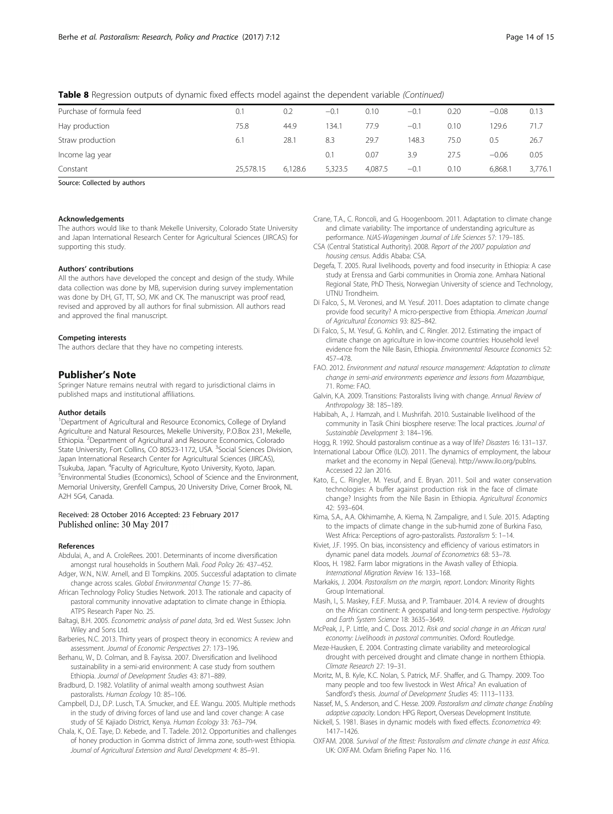<span id="page-13-0"></span>Table 8 Regression outputs of dynamic fixed effects model against the dependent variable (Continued)

| Purchase of formula feed | 0.1       | 0.2     | $-0.1$  | 0.10    | $-0.1$ | 0.20 | $-0.08$ | 0.13    |
|--------------------------|-----------|---------|---------|---------|--------|------|---------|---------|
| Hay production           | 75.8      | 44.9    | 134.1   | 77.9    | $-0.1$ | 0.10 | 29.6    | 71.7    |
| Straw production         | 6.1       | 28.1    | 8.3     | 29.7    | 148.3  | 75.0 | 0.5     | 26.7    |
| Income lag year          |           |         | 0.1     | 0.07    | 3.9    | 27.5 | $-0.06$ | 0.05    |
| Constant                 | 25.578.15 | 6.128.6 | 5,323.5 | 4,087.5 | $-0.1$ | 0.10 | 6.868.1 | 3,776.1 |

Source: Collected by authors

#### Acknowledgements

The authors would like to thank Mekelle University, Colorado State University and Japan International Research Center for Agricultural Sciences (JIRCAS) for supporting this study.

#### Authors' contributions

All the authors have developed the concept and design of the study. While data collection was done by MB, supervision during survey implementation was done by DH, GT, TT, SO, MK and CK. The manuscript was proof read, revised and approved by all authors for final submission. All authors read and approved the final manuscript.

#### Competing interests

The authors declare that they have no competing interests.

#### Publisher's Note

Springer Nature remains neutral with regard to jurisdictional claims in published maps and institutional affiliations.

#### Author details

<sup>1</sup>Department of Agricultural and Resource Economics, College of Dryland Agriculture and Natural Resources, Mekelle University, P.O.Box 231, Mekelle, Ethiopia. <sup>2</sup> Department of Agricultural and Resource Economics, Colorado State University, Fort Collins, CO 80523-1172, USA. <sup>3</sup>Social Sciences Division, Japan International Research Center for Agricultural Sciences (JIRCAS), Tsukuba, Japan. <sup>4</sup>Faculty of Agriculture, Kyoto University, Kyoto, Japan.<br><sup>5</sup>Environmental Studies (Economics), School of Science and the Enviro <sup>5</sup>Environmental Studies (Economics), School of Science and the Environment, Memorial University, Grenfell Campus, 20 University Drive, Corner Brook, NL A2H 5G4, Canada.

#### Received: 28 October 2016 Accepted: 23 February 2017 Published online: 30 May 2017

#### References

- Abdulai, A., and A. CroleRees. 2001. Determinants of income diversification amongst rural households in Southern Mali. Food Policy 26: 437–452.
- Adger, W.N., N.W. Arnell, and El Tompkins. 2005. Successful adaptation to climate change across scales. Global Environmental Change 15: 77–86.
- African Technology Policy Studies Network. 2013. The rationale and capacity of pastoral community innovative adaptation to climate change in Ethiopia. ATPS Research Paper No. 25.
- Baltagi, B.H. 2005. Econometric analysis of panel data, 3rd ed. West Sussex: John Wiley and Sons Ltd.
- Barberies, N.C. 2013. Thirty years of prospect theory in economics: A review and assessment. Journal of Economic Perspectives 27: 173–196.

Berhanu, W., D. Colman, and B. Fayissa. 2007. Diversification and livelihood sustainability in a semi-arid environment: A case study from southern Ethiopia. Journal of Development Studies 43: 871–889.

Bradburd, D. 1982. Volatility of animal wealth among southwest Asian pastoralists. Human Ecology 10: 85–106.

- Campbell, D.J., D.P. Lusch, T.A. Smucker, and E.E. Wangu. 2005. Multiple methods in the study of driving forces of land use and land cover change: A case study of SE Kajiado District, Kenya. Human Ecology 33: 763–794.
- Chala, K., O.E. Taye, D. Kebede, and T. Tadele. 2012. Opportunities and challenges of honey production in Gomma district of Jimma zone, south-west Ethiopia. Journal of Agricultural Extension and Rural Development 4: 85–91.

Crane, T.A., C. Roncoli, and G. Hoogenboom. 2011. Adaptation to climate change and climate variability: The importance of understanding agriculture as performance. NJAS-Wageningen Journal of Life Sciences 57: 179–185.

- CSA (Central Statistical Authority). 2008. Report of the 2007 population and housing census. Addis Ababa: CSA.
- Degefa, T. 2005. Rural livelihoods, poverty and food insecurity in Ethiopia: A case study at Erenssa and Garbi communities in Oromia zone. Amhara National Regional State, PhD Thesis, Norwegian University of science and Technology, UTNU Trondheim.
- Di Falco, S., M. Veronesi, and M. Yesuf. 2011. Does adaptation to climate change provide food security? A micro-perspective from Ethiopia. American Journal of Agricultural Economics 93: 825–842.
- Di Falco, S., M. Yesuf, G. Kohlin, and C. Ringler. 2012. Estimating the impact of climate change on agriculture in low-income countries: Household level evidence from the Nile Basin, Ethiopia. Environmental Resource Economics 52: 457–478.
- FAO. 2012. Environment and natural resource management: Adaptation to climate change in semi-arid environments experience and lessons from Mozambique, 71. Rome: FAO.
- Galvin, K.A. 2009. Transitions: Pastoralists living with change. Annual Review of Anthropology 38: 185–189.
- Habibah, A., J. Hamzah, and I. Mushrifah. 2010. Sustainable livelihood of the community in Tasik Chini biosphere reserve: The local practices. Journal of Sustainable Development 3: 184–196.
- Hogg, R. 1992. Should pastoralism continue as a way of life? Disasters 16: 131–137. International Labour Office (ILO). 2011. The dynamics of employment, the labour market and the economy in Nepal (Geneva).<http://www.ilo.org/publns>. Accessed 22 Jan 2016.
- Kato, E., C. Ringler, M. Yesuf, and E. Bryan. 2011. Soil and water conservation technologies: A buffer against production risk in the face of climate change? Insights from the Nile Basin in Ethiopia. Agricultural Economics 42: 593–604.
- Kima, S.A., A.A. Okhimamhe, A. Kiema, N. Zampaligre, and I. Sule. 2015. Adapting to the impacts of climate change in the sub-humid zone of Burkina Faso, West Africa: Perceptions of agro-pastoralists. Pastoralism 5: 1–14.
- Kiviet, J.F. 1995. On bias, inconsistency and efficiency of various estimators in dynamic panel data models. Journal of Econometrics 68: 53–78.
- Kloos, H. 1982. Farm labor migrations in the Awash valley of Ethiopia. International Migration Review 16: 133–168.
- Markakis, J. 2004. Pastoralism on the margin, report. London: Minority Rights Group International.
- Masih, I., S. Maskey, F.E.F. Mussa, and P. Trambauer. 2014. A review of droughts on the African continent: A geospatial and long-term perspective. Hydrology and Earth System Science 18: 3635–3649.
- McPeak, J., P. Little, and C. Doss. 2012. Risk and social change in an African rural economy: Livelihoods in pastoral communities. Oxford: Routledge.
- Meze-Hausken, E. 2004. Contrasting climate variability and meteorological drought with perceived drought and climate change in northern Ethiopia. Climate Research 27: 19–31.
- Moritz, M., B. Kyle, K.C. Nolan, S. Patrick, M.F. Shaffer, and G. Thampy. 2009. Too many people and too few livestock in West Africa? An evaluation of Sandford's thesis. Journal of Development Studies 45: 1113–1133.
- Nassef, M., S. Anderson, and C. Hesse. 2009. Pastoralism and climate change: Enabling adaptive capacity. London: HPG Report, Overseas Development Institute.
- Nickell, S. 1981. Biases in dynamic models with fixed effects. Econometrica 49: 1417–1426.
- OXFAM. 2008. Survival of the fittest: Pastoralism and climate change in east Africa. UK: OXFAM. Oxfam Briefing Paper No. 116.